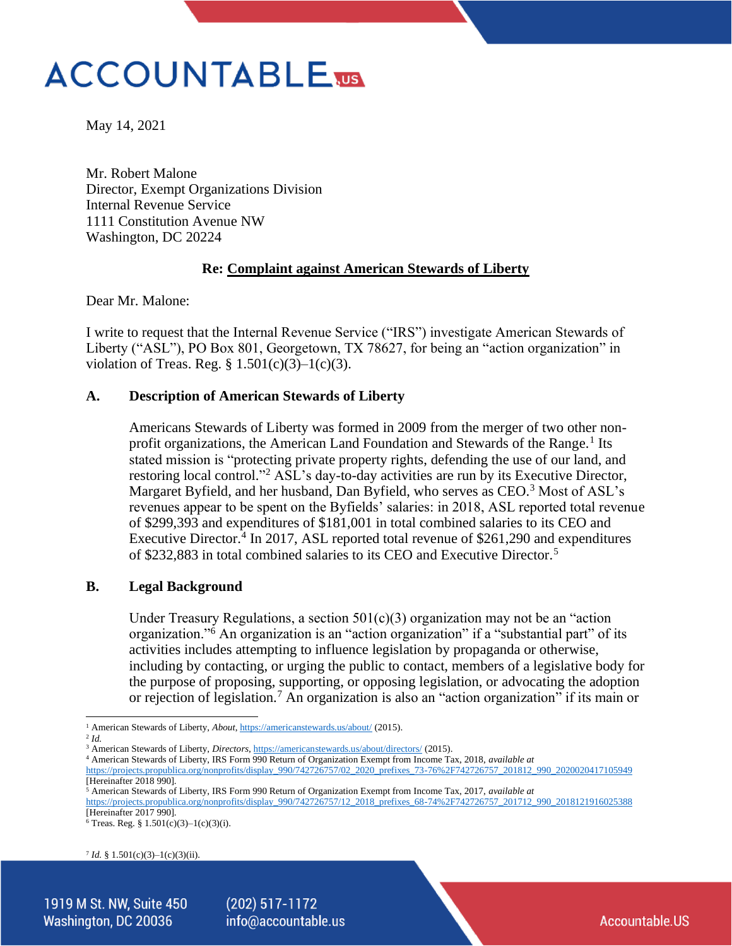# **ACCOUNTABLE**

May 14, 2021

Mr. Robert Malone Director, Exempt Organizations Division Internal Revenue Service 1111 Constitution Avenue NW Washington, DC 20224

# **Re: Complaint against American Stewards of Liberty**

Dear Mr. Malone:

I write to request that the Internal Revenue Service ("IRS") investigate American Stewards of Liberty ("ASL"), PO Box 801, Georgetown, TX 78627, for being an "action organization" in violation of Treas. Reg.  $\S$  1.501(c)(3)–1(c)(3).

## **A. Description of American Stewards of Liberty**

Americans Stewards of Liberty was formed in 2009 from the merger of two other nonprofit organizations, the American Land Foundation and Stewards of the Range.<sup>1</sup> Its stated mission is "protecting private property rights, defending the use of our land, and restoring local control."<sup>2</sup> ASL's day-to-day activities are run by its Executive Director, Margaret Byfield, and her husband, Dan Byfield, who serves as CEO.<sup>3</sup> Most of ASL's revenues appear to be spent on the Byfields' salaries: in 2018, ASL reported total revenue of \$299,393 and expenditures of \$181,001 in total combined salaries to its CEO and Executive Director.<sup>4</sup> In 2017, ASL reported total revenue of \$261,290 and expenditures of \$232,883 in total combined salaries to its CEO and Executive Director.<sup>5</sup>

## **B. Legal Background**

Under Treasury Regulations, a section  $501(c)(3)$  organization may not be an "action" organization."<sup>6</sup> An organization is an "action organization" if a "substantial part" of its activities includes attempting to influence legislation by propaganda or otherwise, including by contacting, or urging the public to contact, members of a legislative body for the purpose of proposing, supporting, or opposing legislation, or advocating the adoption or rejection of legislation.<sup>7</sup> An organization is also an "action organization" if its main or

[https://projects.propublica.org/nonprofits/display\\_990/742726757/02\\_2020\\_prefixes\\_73-76%2F742726757\\_201812\\_990\\_2020020417105949](https://projects.propublica.org/nonprofits/display_990/742726757/02_2020_prefixes_73-76%2F742726757_201812_990_2020020417105949) [Hereinafter 2018 990].

<sup>7</sup> *Id.* § 1.501(c)(3)–1(c)(3)(ii).

 $(202)$  517-1172 info@accountable.us

<sup>&</sup>lt;sup>1</sup> American Stewards of Liberty, *About*[, https://americanstewards.us/about/](https://americanstewards.us/about/) (2015).

<sup>2</sup> *Id.* 

<sup>&</sup>lt;sup>3</sup> American Stewards of Liberty, *Directors*[, https://americanstewards.us/about/directors/](https://americanstewards.us/about/directors/) (2015).

<sup>4</sup> American Stewards of Liberty, IRS Form 990 Return of Organization Exempt from Income Tax, 2018, *available at* 

<sup>5</sup> American Stewards of Liberty, IRS Form 990 Return of Organization Exempt from Income Tax, 2017, *available at* 

[https://projects.propublica.org/nonprofits/display\\_990/742726757/12\\_2018\\_prefixes\\_68-74%2F742726757\\_201712\\_990\\_2018121916025388](https://projects.propublica.org/nonprofits/display_990/742726757/12_2018_prefixes_68-74%2F742726757_201712_990_2018121916025388) [Hereinafter 2017 990].

 $6$  Treas. Reg. § 1.501(c)(3)–1(c)(3)(i).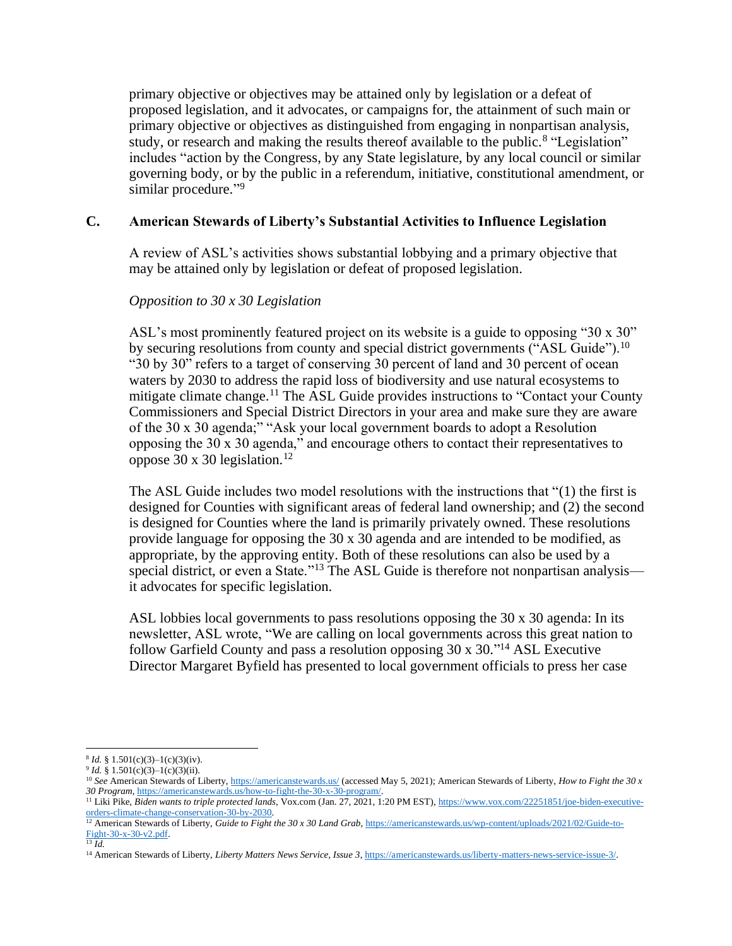primary objective or objectives may be attained only by legislation or a defeat of proposed legislation, and it advocates, or campaigns for, the attainment of such main or primary objective or objectives as distinguished from engaging in nonpartisan analysis, study, or research and making the results thereof available to the public.<sup>8</sup> "Legislation" includes "action by the Congress, by any State legislature, by any local council or similar governing body, or by the public in a referendum, initiative, constitutional amendment, or similar procedure."<sup>9</sup>

# **C. American Stewards of Liberty's Substantial Activities to Influence Legislation**

A review of ASL's activities shows substantial lobbying and a primary objective that may be attained only by legislation or defeat of proposed legislation.

## *Opposition to 30 x 30 Legislation*

ASL's most prominently featured project on its website is a guide to opposing "30 x 30" by securing resolutions from county and special district governments ("ASL Guide").<sup>10</sup> "30 by 30" refers to a target of conserving 30 percent of land and 30 percent of ocean waters by 2030 to address the rapid loss of biodiversity and use natural ecosystems to mitigate climate change.<sup>11</sup> The ASL Guide provides instructions to "Contact your County" Commissioners and Special District Directors in your area and make sure they are aware of the 30 x 30 agenda;" "Ask your local government boards to adopt a Resolution opposing the 30 x 30 agenda," and encourage others to contact their representatives to oppose 30 x 30 legislation.<sup>12</sup>

The ASL Guide includes two model resolutions with the instructions that "(1) the first is designed for Counties with significant areas of federal land ownership; and (2) the second is designed for Counties where the land is primarily privately owned. These resolutions provide language for opposing the 30 x 30 agenda and are intended to be modified, as appropriate, by the approving entity. Both of these resolutions can also be used by a special district, or even a State."<sup>13</sup> The ASL Guide is therefore not nonpartisan analysis it advocates for specific legislation.

ASL lobbies local governments to pass resolutions opposing the 30 x 30 agenda: In its newsletter, ASL wrote, "We are calling on local governments across this great nation to follow Garfield County and pass a resolution opposing 30 x 30." <sup>14</sup> ASL Executive Director Margaret Byfield has presented to local government officials to press her case

 $8 Id. \S 1.501(c)(3)-1(c)(3)(iv).$ 

<sup>&</sup>lt;sup>9</sup> *Id.* § 1.501(c)(3)–1(c)(3)(ii).

<sup>&</sup>lt;sup>10</sup> See American Stewards of Liberty,<https://americanstewards.us/> (accessed May 5, 2021); American Stewards of Liberty, *How to Fight the 30 x 30 Program*, [https://americanstewards.us/how-to-fight-the-30-x-30-program/.](https://americanstewards.us/how-to-fight-the-30-x-30-program/) 

<sup>11</sup> Liki Pike, *Biden wants to triple protected lands*, Vox.com (Jan. 27, 2021, 1:20 PM EST)[, https://www.vox.com/22251851/joe-biden-executive](https://www.vox.com/22251851/joe-biden-executive-orders-climate-change-conservation-30-by-2030)[orders-climate-change-conservation-30-by-2030.](https://www.vox.com/22251851/joe-biden-executive-orders-climate-change-conservation-30-by-2030)

<sup>&</sup>lt;sup>12</sup> American Stewards of Liberty, *Guide to Fight the 30 x 30 Land Grab*, [https://americanstewards.us/wp-content/uploads/2021/02/Guide-to-](https://americanstewards.us/wp-content/uploads/2021/02/Guide-to-Fight-30-x-30-v2.pdf)[Fight-30-x-30-v2.pdf.](https://americanstewards.us/wp-content/uploads/2021/02/Guide-to-Fight-30-x-30-v2.pdf)

<sup>13</sup> *Id.* 

<sup>14</sup> American Stewards of Liberty, *Liberty Matters News Service, Issue 3*[, https://americanstewards.us/liberty-matters-news-service-issue-3/.](https://americanstewards.us/liberty-matters-news-service-issue-3/)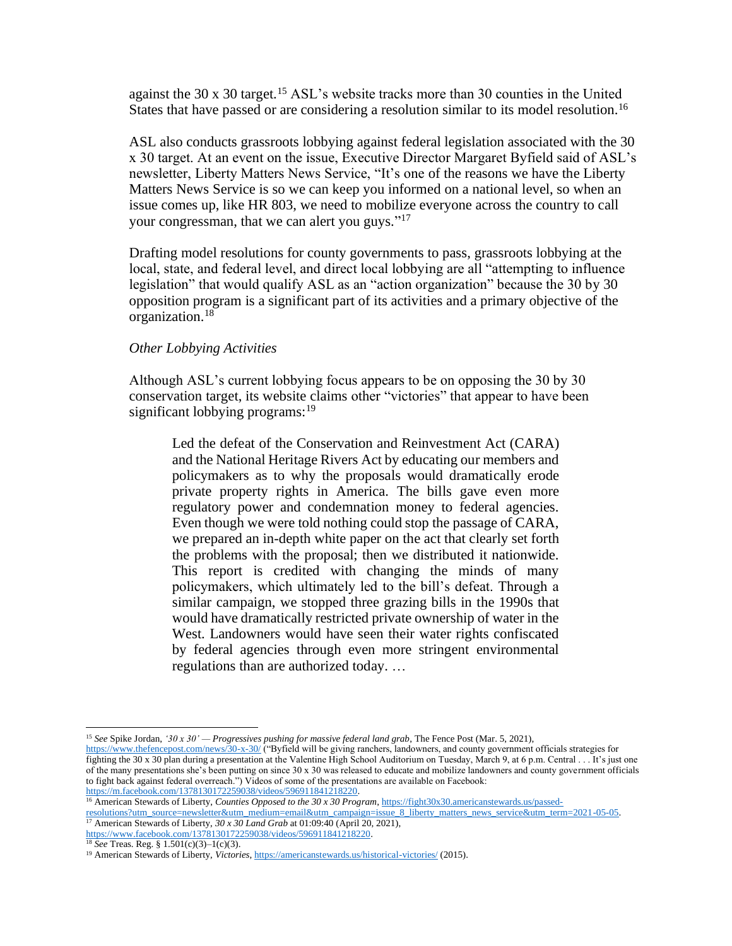against the 30 x 30 target.<sup>15</sup> ASL's website tracks more than 30 counties in the United States that have passed or are considering a resolution similar to its model resolution.<sup>16</sup>

ASL also conducts grassroots lobbying against federal legislation associated with the 30 x 30 target. At an event on the issue, Executive Director Margaret Byfield said of ASL's newsletter, Liberty Matters News Service, "It's one of the reasons we have the Liberty Matters News Service is so we can keep you informed on a national level, so when an issue comes up, like HR 803, we need to mobilize everyone across the country to call your congressman, that we can alert you guys."<sup>17</sup>

Drafting model resolutions for county governments to pass, grassroots lobbying at the local, state, and federal level, and direct local lobbying are all "attempting to influence legislation" that would qualify ASL as an "action organization" because the 30 by 30 opposition program is a significant part of its activities and a primary objective of the organization.<sup>18</sup>

#### *Other Lobbying Activities*

Although ASL's current lobbying focus appears to be on opposing the 30 by 30 conservation target, its website claims other "victories" that appear to have been significant lobbying programs: $19$ 

Led the defeat of the Conservation and Reinvestment Act (CARA) and the National Heritage Rivers Act by educating our members and policymakers as to why the proposals would dramatically erode private property rights in America. The bills gave even more regulatory power and condemnation money to federal agencies. Even though we were told nothing could stop the passage of CARA, we prepared an in-depth white paper on the act that clearly set forth the problems with the proposal; then we distributed it nationwide. This report is credited with changing the minds of many policymakers, which ultimately led to the bill's defeat. Through a similar campaign, we stopped three grazing bills in the 1990s that would have dramatically restricted private ownership of water in the West. Landowners would have seen their water rights confiscated by federal agencies through even more stringent environmental regulations than are authorized today. …

[https://m.facebook.com/1378130172259038/videos/596911841218220.](https://m.facebook.com/1378130172259038/videos/596911841218220)

<sup>15</sup> *See* Spike Jordan, *'30 x 30' — Progressives pushing for massive federal land grab*, The Fence Post (Mar. 5, 2021),

<https://www.thefencepost.com/news/30-x-30/> ("Byfield will be giving ranchers, landowners, and county government officials strategies for fighting the 30 x 30 plan during a presentation at the Valentine High School Auditorium on Tuesday, March 9, at 6 p.m. Central . . . It's just one of the many presentations she's been putting on since 30 x 30 was released to educate and mobilize landowners and county government officials to fight back against federal overreach.") Videos of some of the presentations are available on Facebook:

<sup>16</sup> American Stewards of Liberty, *Counties Opposed to the 30 x 30 Program*[, https://fight30x30.americanstewards.us/passed-](https://fight30x30.americanstewards.us/passed-resolutions?utm_source=newsletter&utm_medium=email&utm_campaign=issue_8_liberty_matters_news_service&utm_term=2021-05-05)

[resolutions?utm\\_source=newsletter&utm\\_medium=email&utm\\_campaign=issue\\_8\\_liberty\\_matters\\_news\\_service&utm\\_term=2021-05-05.](https://fight30x30.americanstewards.us/passed-resolutions?utm_source=newsletter&utm_medium=email&utm_campaign=issue_8_liberty_matters_news_service&utm_term=2021-05-05) <sup>17</sup> American Stewards of Liberty, *30 x 30 Land Grab* at 01:09:40 (April 20, 2021),

[https://www.facebook.com/1378130172259038/videos/596911841218220.](https://www.facebook.com/1378130172259038/videos/596911841218220)

<sup>18</sup> *See* Treas. Reg. § 1.501(c)(3)–1(c)(3).

<sup>19</sup> American Stewards of Liberty, *Victories*,<https://americanstewards.us/historical-victories/> (2015).